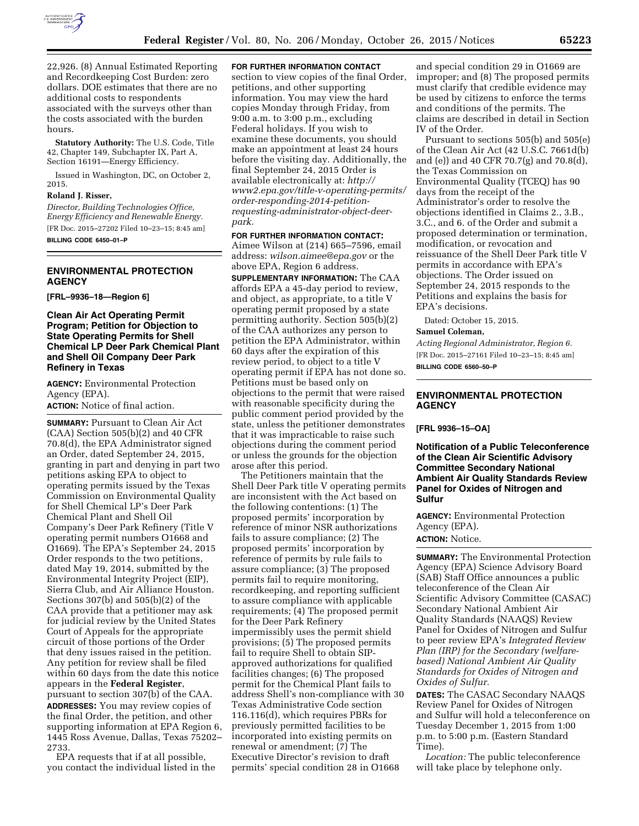

22,926. (8) Annual Estimated Reporting and Recordkeeping Cost Burden: zero dollars. DOE estimates that there are no additional costs to respondents associated with the surveys other than the costs associated with the burden hours.

**Statutory Authority:** The U.S. Code, Title 42, Chapter 149, Subchapter IX, Part A, Section 16191—Energy Efficiency.

Issued in Washington, DC, on October 2, 2015.

#### **Roland J. Risser,**

*Director, Building Technologies Office, Energy Efficiency and Renewable Energy.*  [FR Doc. 2015–27202 Filed 10–23–15; 8:45 am] **BILLING CODE 6450–01–P** 

#### **ENVIRONMENTAL PROTECTION AGENCY**

**[FRL–9936–18—Region 6]** 

## **Clean Air Act Operating Permit Program; Petition for Objection to State Operating Permits for Shell Chemical LP Deer Park Chemical Plant and Shell Oil Company Deer Park Refinery in Texas**

**AGENCY:** Environmental Protection Agency (EPA).

**ACTION:** Notice of final action.

**SUMMARY: Pursuant to Clean Air Act** (CAA) Section 505(b)(2) and 40 CFR 70.8(d), the EPA Administrator signed an Order, dated September 24, 2015, granting in part and denying in part two petitions asking EPA to object to operating permits issued by the Texas Commission on Environmental Quality for Shell Chemical LP's Deer Park Chemical Plant and Shell Oil Company's Deer Park Refinery (Title V operating permit numbers O1668 and O1669). The EPA's September 24, 2015 Order responds to the two petitions, dated May 19, 2014, submitted by the Environmental Integrity Project (EIP), Sierra Club, and Air Alliance Houston. Sections 307(b) and 505(b)(2) of the CAA provide that a petitioner may ask for judicial review by the United States Court of Appeals for the appropriate circuit of those portions of the Order that deny issues raised in the petition. Any petition for review shall be filed within 60 days from the date this notice appears in the **Federal Register**, pursuant to section 307(b) of the CAA. **ADDRESSES:** You may review copies of the final Order, the petition, and other supporting information at EPA Region 6, 1445 Ross Avenue, Dallas, Texas 75202– 2733.

EPA requests that if at all possible, you contact the individual listed in the

# **FOR FURTHER INFORMATION CONTACT**

section to view copies of the final Order, petitions, and other supporting information. You may view the hard copies Monday through Friday, from 9:00 a.m. to 3:00 p.m., excluding Federal holidays. If you wish to examine these documents, you should make an appointment at least 24 hours before the visiting day. Additionally, the final September 24, 2015 Order is available electronically at: *[http://](http://www2.epa.gov/title-v-operating-permits/order-responding-2014-petition-requesting-administrator-object-deer-park) [www2.epa.gov/title-v-operating-permits/](http://www2.epa.gov/title-v-operating-permits/order-responding-2014-petition-requesting-administrator-object-deer-park) [order-responding-2014-petition](http://www2.epa.gov/title-v-operating-permits/order-responding-2014-petition-requesting-administrator-object-deer-park)[requesting-administrator-object-deer](http://www2.epa.gov/title-v-operating-permits/order-responding-2014-petition-requesting-administrator-object-deer-park)[park.](http://www2.epa.gov/title-v-operating-permits/order-responding-2014-petition-requesting-administrator-object-deer-park)* 

**FOR FURTHER INFORMATION CONTACT:** 

Aimee Wilson at (214) 665–7596, email address: *[wilson.aimee@epa.gov](mailto:wilson.aimee@epa.gov)* or the above EPA, Region 6 address.

**SUPPLEMENTARY INFORMATION:** The CAA affords EPA a 45-day period to review, and object, as appropriate, to a title V operating permit proposed by a state permitting authority. Section 505(b)(2) of the CAA authorizes any person to petition the EPA Administrator, within 60 days after the expiration of this review period, to object to a title V operating permit if EPA has not done so. Petitions must be based only on objections to the permit that were raised with reasonable specificity during the public comment period provided by the state, unless the petitioner demonstrates that it was impracticable to raise such objections during the comment period or unless the grounds for the objection arose after this period.

The Petitioners maintain that the Shell Deer Park title V operating permits are inconsistent with the Act based on the following contentions: (1) The proposed permits' incorporation by reference of minor NSR authorizations fails to assure compliance; (2) The proposed permits' incorporation by reference of permits by rule fails to assure compliance; (3) The proposed permits fail to require monitoring, recordkeeping, and reporting sufficient to assure compliance with applicable requirements; (4) The proposed permit for the Deer Park Refinery impermissibly uses the permit shield provisions; (5) The proposed permits fail to require Shell to obtain SIPapproved authorizations for qualified facilities changes; (6) The proposed permit for the Chemical Plant fails to address Shell's non-compliance with 30 Texas Administrative Code section 116.116(d), which requires PBRs for previously permitted facilities to be incorporated into existing permits on renewal or amendment; (7) The Executive Director's revision to draft permits' special condition 28 in O1668

and special condition 29 in O1669 are improper; and (8) The proposed permits must clarify that credible evidence may be used by citizens to enforce the terms and conditions of the permits. The claims are described in detail in Section IV of the Order.

Pursuant to sections 505(b) and 505(e) of the Clean Air Act (42 U.S.C. 7661d(b) and (e)) and 40 CFR 70.7(g) and 70.8(d), the Texas Commission on Environmental Quality (TCEQ) has 90 days from the receipt of the Administrator's order to resolve the objections identified in Claims 2., 3.B., 3.C., and 6. of the Order and submit a proposed determination or termination, modification, or revocation and reissuance of the Shell Deer Park title V permits in accordance with EPA's objections. The Order issued on September 24, 2015 responds to the Petitions and explains the basis for EPA's decisions.

Dated: October 15, 2015.

#### **Samuel Coleman,**

*Acting Regional Administrator, Region 6.*  [FR Doc. 2015–27161 Filed 10–23–15; 8:45 am] **BILLING CODE 6560–50–P** 

# **ENVIRONMENTAL PROTECTION AGENCY**

**[FRL 9936–15–OA]** 

**Notification of a Public Teleconference of the Clean Air Scientific Advisory Committee Secondary National Ambient Air Quality Standards Review Panel for Oxides of Nitrogen and Sulfur** 

**AGENCY:** Environmental Protection Agency (EPA).

# **ACTION:** Notice.

**SUMMARY:** The Environmental Protection Agency (EPA) Science Advisory Board (SAB) Staff Office announces a public teleconference of the Clean Air Scientific Advisory Committee (CASAC) Secondary National Ambient Air Quality Standards (NAAQS) Review Panel for Oxides of Nitrogen and Sulfur to peer review EPA's *Integrated Review Plan (IRP) for the Secondary (welfarebased) National Ambient Air Quality Standards for Oxides of Nitrogen and Oxides of Sulfur.* 

**DATES:** The CASAC Secondary NAAQS Review Panel for Oxides of Nitrogen and Sulfur will hold a teleconference on Tuesday December 1, 2015 from 1:00 p.m. to 5:00 p.m. (Eastern Standard Time).

*Location:* The public teleconference will take place by telephone only.